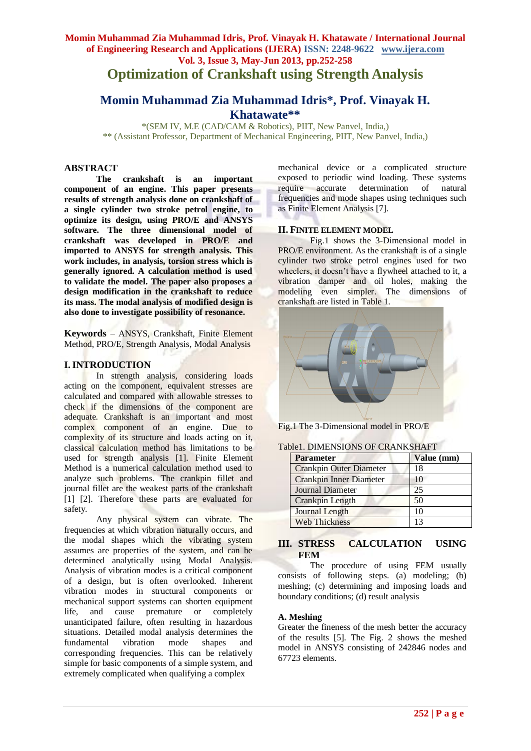# **Optimization of Crankshaft using Strength Analysis**

## **Momin Muhammad Zia Muhammad Idris\*, Prof. Vinayak H. Khatawate\*\***

\*(SEM IV, M.E (CAD/CAM & Robotics), PIIT, New Panvel, India,) \*\* (Assistant Professor, Department of Mechanical Engineering, PIIT, New Panvel, India,)

### **ABSTRACT**

**The crankshaft is an important component of an engine. This paper presents results of strength analysis done on crankshaft of a single cylinder two stroke petrol engine, to optimize its design, using PRO/E and ANSYS software. The three dimensional model of crankshaft was developed in PRO/E and imported to ANSYS for strength analysis. This work includes, in analysis, torsion stress which is generally ignored. A calculation method is used to validate the model. The paper also proposes a design modification in the crankshaft to reduce its mass. The modal analysis of modified design is also done to investigate possibility of resonance.**

**Keywords** – ANSYS, Crankshaft, Finite Element Method, PRO/E, Strength Analysis, Modal Analysis

### **I.INTRODUCTION**

In strength analysis, considering loads acting on the component, equivalent stresses are calculated and compared with allowable stresses to check if the dimensions of the component are adequate. Crankshaft is an important and most complex component of an engine. Due to complexity of its structure and loads acting on it, classical calculation method has limitations to be used for strength analysis [1]. Finite Element Method is a numerical calculation method used to analyze such problems. The crankpin fillet and journal fillet are the weakest parts of the crankshaft [1] [2]. Therefore these parts are evaluated for safety.

Any physical system can vibrate. The frequencies at which vibration naturally occurs, and the modal shapes which the vibrating system assumes are properties of the system, and can be determined analytically using Modal Analysis. Analysis of vibration modes is a critical component of a design, but is often overlooked. Inherent vibration modes in structural components or mechanical support systems can shorten equipment life, and cause premature or completely unanticipated failure, often resulting in hazardous situations. Detailed modal analysis determines the fundamental vibration mode shapes and corresponding frequencies. This can be relatively simple for basic components of a simple system, and extremely complicated when qualifying a complex

mechanical device or a complicated structure exposed to periodic wind loading. These systems require accurate determination of natural frequencies and mode shapes using techniques such as Finite Element Analysis [7].

## **II. FINITE ELEMENT MODEL**

Fig.1 shows the 3-Dimensional model in PRO/E environment. As the crankshaft is of a single cylinder two stroke petrol engines used for two wheelers, it doesn't have a flywheel attached to it, a vibration damper and oil holes, making the modeling even simpler. The dimensions of crankshaft are listed in Table 1.



Fig.1 The 3-Dimensional model in PRO/E

|  | Table1. DIMENSIONS OF CRANKSHAFT |
|--|----------------------------------|
|  |                                  |

| <b>Parameter</b>               | Value (mm) |
|--------------------------------|------------|
| <b>Crankpin Outer Diameter</b> | 18         |
| <b>Crankpin Inner Diameter</b> | 10         |
| Journal Diameter               | 25         |
| Crankpin Length                | 50         |
| <b>Journal Length</b>          | 10         |
| <b>Web Thickness</b>           | 13         |

## **III. STRESS CALCULATION USING FEM**

The procedure of using FEM usually consists of following steps. (a) modeling; (b) meshing; (c) determining and imposing loads and boundary conditions; (d) result analysis

#### **A. Meshing**

Greater the fineness of the mesh better the accuracy of the results [5]. The Fig. 2 shows the meshed model in ANSYS consisting of 242846 nodes and 67723 elements.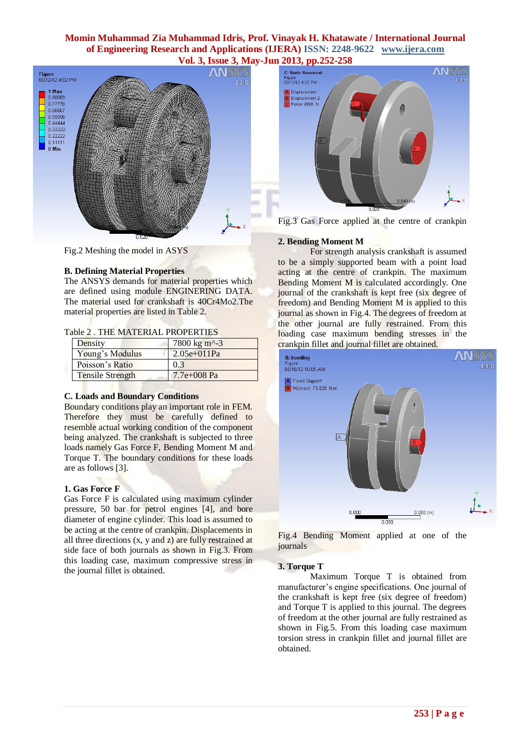

Fig.2 Meshing the model in ASYS

#### **B. Defining Material Properties**

The ANSYS demands for material properties which are defined using module ENGINERING DATA. The material used for crankshaft is 40Cr4Mo2.The material properties are listed in Table 2.

#### Table 2 . THE MATERIAL PROPERTIES

| Density                 | 7800 kg m <sup><math>\sim</math>-3</sup> |
|-------------------------|------------------------------------------|
| Young's Modulus         | $2.05e+011Pa$                            |
| Poisson's Ratio         | 0.3                                      |
| <b>Tensile Strength</b> | $7.7e+008$ Pa                            |

#### **C. Loads and Boundary Conditions**

Boundary conditions play an important role in FEM. Therefore they must be carefully defined to resemble actual working condition of the component being analyzed. The crankshaft is subjected to three loads namely Gas Force F, Bending Moment M and Torque T. The boundary conditions for these loads are as follows [3].

#### **1. Gas Force F**

Gas Force F is calculated using maximum cylinder pressure, 50 bar for petrol engines [4], and bore diameter of engine cylinder. This load is assumed to be acting at the centre of crankpin. Displacements in all three directions (x, y and z) are fully restrained at side face of both journals as shown in Fig.3. From this loading case, maximum compressive stress in the journal fillet is obtained.





#### **2. Bending Moment M**

For strength analysis crankshaft is assumed to be a simply supported beam with a point load acting at the centre of crankpin. The maximum Bending Moment M is calculated accordingly. One journal of the crankshaft is kept free (six degree of freedom) and Bending Moment M is applied to this journal as shown in Fig.4. The degrees of freedom at the other journal are fully restrained. From this loading case maximum bending stresses in the crankpin fillet and journal fillet are obtained.



Fig.4 Bending Moment applied at one of the journals

#### **3. Torque T**

Maximum Torque T is obtained from manufacturer's engine specifications. One journal of the crankshaft is kept free (six degree of freedom) and Torque T is applied to this journal. The degrees of freedom at the other journal are fully restrained as shown in Fig.5. From this loading case maximum torsion stress in crankpin fillet and journal fillet are obtained.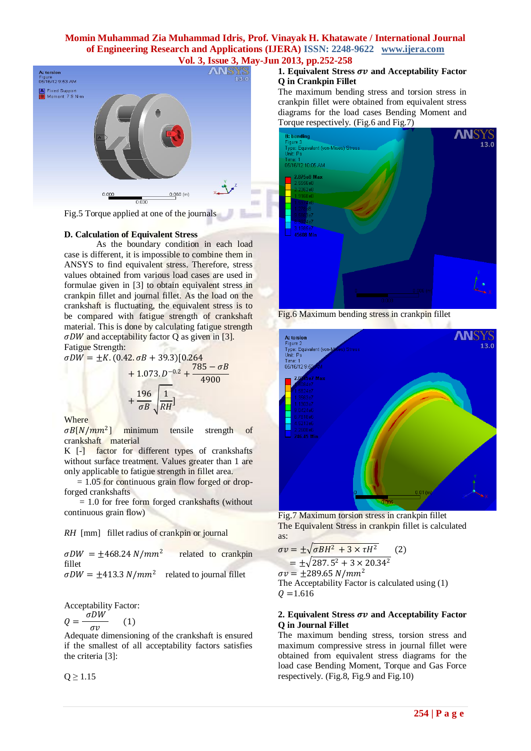

Fig.5 Torque applied at one of the journals

#### **D. Calculation of Equivalent Stress**

As the boundary condition in each load case is different, it is impossible to combine them in ANSYS to find equivalent stress. Therefore, stress values obtained from various load cases are used in formulae given in [3] to obtain equivalent stress in crankpin fillet and journal fillet. As the load on the crankshaft is fluctuating, the equivalent stress is to be compared with fatigue strength of crankshaft material. This is done by calculating fatigue strength  $\sigma$ *DW* and acceptability factor Q as given in [3]. Fatigue Strength:

 $\sigma D W = \pm K. (0.42, \sigma B + 39.3)[0.264]$  $+1.073 \cdot D^{-0.2} + \frac{785 - \sigma B}{4000}$ 4900  $+\frac{196}{-6}$  $\frac{196}{\sigma B}$ <sub>N</sub>  $\frac{1}{RH}$ 

Where

 $\sigma B[N/mm^2]$ minimum tensile strength of crankshaft material

K [-] factor for different types of crankshafts without surface treatment. Values greater than 1 are only applicable to fatigue strength in fillet area.

 $= 1.05$  for continuous grain flow forged or dropforged crankshafts

 = 1.0 for free form forged crankshafts (without continuous grain flow)

*RH* [mm]fillet radius of crankpin or journal

 $\sigma D W = \pm 468.24 \ N/mm^2$  related to crankpin fillet  $\sigma D W = \pm 413.3 \ N/mm^2$  related to journal fillet

Acceptability Factor:

 $Q=\frac{\partial}{\partial v}$  $\sigma$ DW (1)

Adequate dimensioning of the crankshaft is ensured if the smallest of all acceptability factors satisfies the criteria [3]:

 $Q \ge 1.15$ 

## 1. Equivalent Stress  $\sigma v$  and Acceptability Factor **Q in Crankpin Fillet**

The maximum bending stress and torsion stress in crankpin fillet were obtained from equivalent stress diagrams for the load cases Bending Moment and Torque respectively. (Fig.6 and Fig.7)



Fig.6 Maximum bending stress in crankpin fillet



Fig.7 Maximum torsion stress in crankpin fillet The Equivalent Stress in crankpin fillet is calculated as:

$$
\sigma v = \pm \sqrt{\sigma B H^2 + 3 \times \tau H^2}
$$
 (2)  
=  $\pm \sqrt{287.5^2 + 3 \times 20.34^2}$ 

 $\sigma v = +289.65 \ N/mm^2$ The Acceptability Factor is calculated using (1)  $Q = 1.616$ 

#### 2. Equivalent Stress  $\sigma v$  and Acceptability Factor **Q in Journal Fillet**

The maximum bending stress, torsion stress and maximum compressive stress in journal fillet were obtained from equivalent stress diagrams for the load case Bending Moment, Torque and Gas Force respectively. (Fig.8, Fig.9 and Fig.10)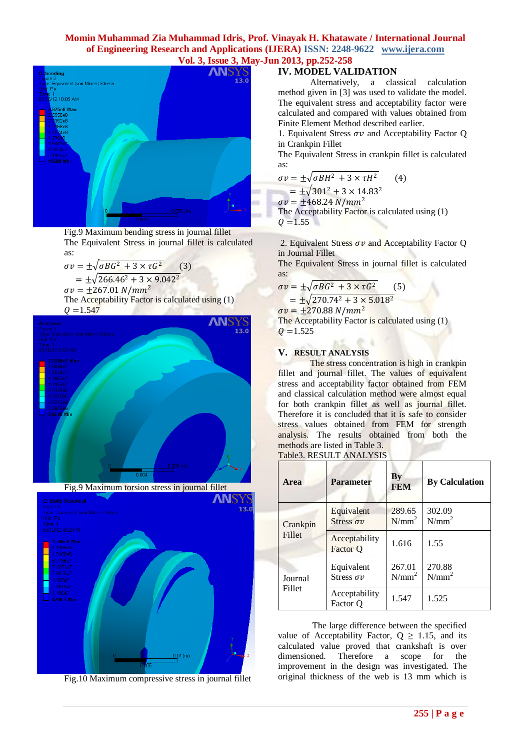

Fig.9 Maximum bending stress in journal fillet The Equivalent Stress in journal fillet is calculated as:

$$
\sigma v = \pm \sqrt{\sigma B G^2 + 3 \times \tau G^2}
$$
 (3)  
=  $\pm \sqrt{266.46^2 + 3 \times 9.042^2}$   

$$
\sigma v = \pm 267.01 \text{ N/mm}^2
$$

The Acceptability Factor is calculated using (1)  $0=1.547$ 



Fig.10 Maximum compressive stress in journal fillet

## **IV. MODEL VALIDATION**

Alternatively, a classical calculation method given in [3] was used to validate the model. The equivalent stress and acceptability factor were calculated and compared with values obtained from Finite Element Method described earlier.

1. Equivalent Stress  $\sigma v$  and Acceptability Factor O in Crankpin Fillet

The Equivalent Stress in crankpin fillet is calculated as:

$$
\sigma v = \pm \sqrt{\sigma B H^2 + 3 \times \tau H^2} \qquad (4)
$$

 $=\pm\sqrt{301^2+3\times14.83^2}$ 

 $\sigma v = +468.24 N/mm^2$ 

The Acceptability Factor is calculated using (1)  $Q = 1.55$ 

2. Equivalent Stress  $\sigma v$  and Acceptability Factor Q in Journal Fillet

The Equivalent Stress in journal fillet is calculated as:

$$
\sigma v = \pm \sqrt{\sigma B G^2 + 3 \times \tau G^2}
$$
 (5)

$$
= \pm \sqrt{270.74^2 + 3 \times 5.018^2}
$$

 $\sigma v = +270.88 \ N/mm^2$ The Acceptability Factor is calculated using (1)  $Q = 1.525$ 

## **V. RESULT ANALYSIS**

The stress concentration is high in crankpin fillet and journal fillet. The values of equivalent stress and acceptability factor obtained from FEM and classical calculation method were almost equal for both crankpin fillet as well as journal fillet. Therefore it is concluded that it is safe to consider stress values obtained from FEM for strength analysis. The results obtained from both the methods are listed in Table 3. Table3. RESULT ANALYSIS

**Area Parameter By By Calculation Crankpin** Fillet Equivalent Stress  $\sigma v$ 289.65  $N/mm<sup>2</sup>$ 302.09  $N/mm<sup>2</sup>$ Acceptability  $\frac{1.55}{\text{Factor Q}}$  1.616 1.55 Journal Fillet Equivalent Stress  $\sigma v$ 267.01  $N/mm^2$ 270.88  $N/mm^2$ Acceptability Factor Q 1.547 1.525

The large difference between the specified value of Acceptability Factor,  $Q \ge 1.15$ , and its calculated value proved that crankshaft is over dimensioned. Therefore a scope for the improvement in the design was investigated. The original thickness of the web is 13 mm which is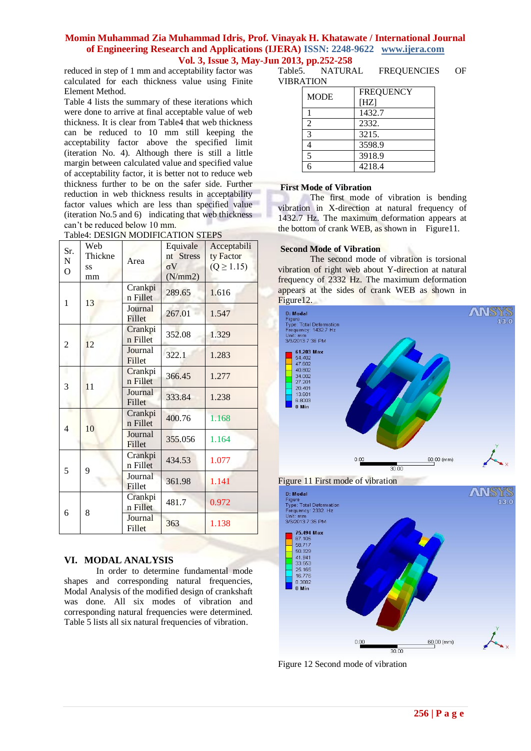reduced in step of 1 mm and acceptability factor was calculated for each thickness value using Finite Element Method.

Table 4 lists the summary of these iterations which were done to arrive at final acceptable value of web thickness. It is clear from Table4 that web thickness can be reduced to 10 mm still keeping the acceptability factor above the specified limit (iteration No. 4). Although there is still a little margin between calculated value and specified value of acceptability factor, it is better not to reduce web thickness further to be on the safer side. Further reduction in web thickness results in acceptability factor values which are less than specified value (iteration No.5 and 6) indicating that web thickness can't be reduced below 10 mm.

|  |  |  | Table4: DESIGN MODIFICATION STEPS |  |
|--|--|--|-----------------------------------|--|
|--|--|--|-----------------------------------|--|

| Sr.<br>N<br>$\overline{O}$ | Web<br>Thickne<br>SS<br>mm | Area                              | Equivale<br>nt Stress<br>$\sigma V$<br>(N/mm 2) | Acceptabili<br>ty Factor<br>$(Q \ge 1.15)$ |
|----------------------------|----------------------------|-----------------------------------|-------------------------------------------------|--------------------------------------------|
| 1                          | 13                         | $\overline{C}$ rankpi<br>n Fillet | 289.65                                          | 1.616                                      |
|                            |                            | Journal<br>Fillet                 | 267.01                                          | 1.547                                      |
| $\overline{2}$             | 12                         | Crankpi<br>n Fillet               | 352.08                                          | 1.329                                      |
|                            |                            | Journal<br>Fillet                 | 322.1                                           | 1.283                                      |
|                            | 3<br>11                    | Crankpi<br>n Fillet               | 366.45                                          | 1.277                                      |
|                            |                            | Journal<br>Fillet                 | 333.84                                          | 1.238                                      |
| 4                          | 10                         | Crankpi<br>n Fillet               | 400.76                                          | 1.168                                      |
|                            |                            | Journal<br>Fillet                 | 355.056                                         | 1.164                                      |
| 5                          | 9                          | Crankpi<br>n Fillet               | 434.53                                          | 1.077                                      |
|                            |                            | Journal<br>Fillet                 | 361.98                                          | 1.141                                      |
| 6                          | 8                          | Crankpi<br>n Fillet               | 481.7                                           | 0.972                                      |
|                            |                            | Journal<br>Fillet                 | 363                                             | 1.138                                      |

## **VI. MODAL ANALYSIS**

In order to determine fundamental mode shapes and corresponding natural frequencies, Modal Analysis of the modified design of crankshaft was done. All six modes of vibration and corresponding natural frequencies were determined. Table 5 lists all six natural frequencies of vibration.

Table5. NATURAL FREQUENCIES OF VIBRATION

| <b>MODE</b>    | <b>FREQUENCY</b><br>[HZ] |
|----------------|--------------------------|
|                | 1432.7                   |
| $\mathfrak{D}$ | 2332.                    |
| 3              | 3215.                    |
|                | 3598.9                   |
| 5              | 3918.9                   |
| б              | 4218.4                   |

#### **First Mode of Vibration**

The first mode of vibration is bending vibration in X-direction at natural frequency of 1432.7 Hz. The maximum deformation appears at the bottom of crank WEB, as shown in Figure11.

### **Second Mode of Vibration**

The second mode of vibration is torsional vibration of right web about Y-direction at natural frequency of 2332 Hz. The maximum deformation appears at the sides of crank WEB as shown in Figure12.





Figure 12 Second mode of vibration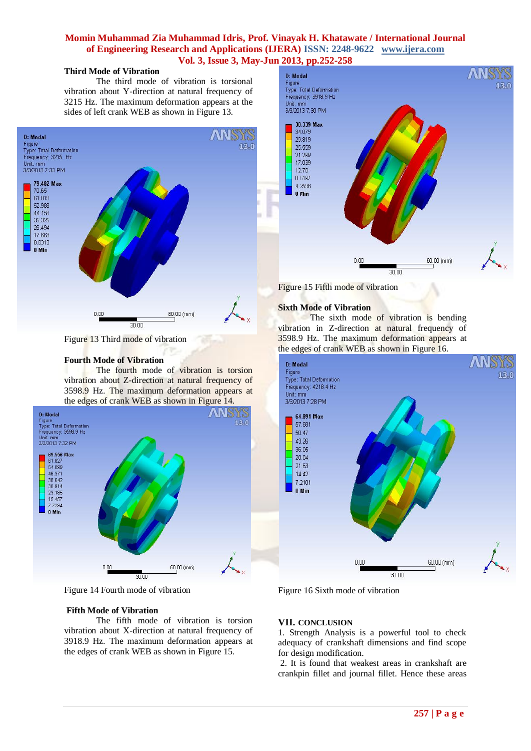## **Third Mode of Vibration**

The third mode of vibration is torsional vibration about Y-direction at natural frequency of 3215 Hz. The maximum deformation appears at the sides of left crank WEB as shown in Figure 13.



Figure 13 Third mode of vibration

#### **Fourth Mode of Vibration**

The fourth mode of vibration is torsion vibration about Z-direction at natural frequency of 3598.9 Hz. The maximum deformation appears at the edges of crank WEB as shown in Figure 14.



Figure 14 Fourth mode of vibration

#### **Fifth Mode of Vibration**

The fifth mode of vibration is torsion vibration about X-direction at natural frequency of 3918.9 Hz. The maximum deformation appears at the edges of crank WEB as shown in Figure 15.



Figure 15 Fifth mode of vibration

#### **Sixth Mode of Vibration**

The sixth mode of vibration is bending vibration in Z-direction at natural frequency of 3598.9 Hz. The maximum deformation appears at the edges of crank WEB as shown in Figure 16.



Figure 16 Sixth mode of vibration

## **VII. CONCLUSION**

1. Strength Analysis is a powerful tool to check adequacy of crankshaft dimensions and find scope for design modification.

2. It is found that weakest areas in crankshaft are crankpin fillet and journal fillet. Hence these areas